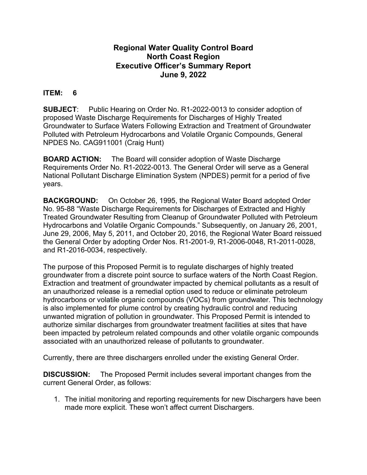## **Regional Water Quality Control Board North Coast Region Executive Officer's Summary Report June 9, 2022**

## **ITEM: 6**

**SUBJECT**:Public Hearing on Order No. R1-2022-0013 to consider adoption of proposed Waste Discharge Requirements for Discharges of Highly Treated Groundwater to Surface Waters Following Extraction and Treatment of Groundwater Polluted with Petroleum Hydrocarbons and Volatile Organic Compounds, General NPDES No. CAG911001 (Craig Hunt)

**BOARD ACTION:** The Board will consider adoption of Waste Discharge Requirements Order No. R1-2022-0013. The General Order will serve as a General National Pollutant Discharge Elimination System (NPDES) permit for a period of five years.

**BACKGROUND:** On October 26, 1995, the Regional Water Board adopted Order No. 95-88 "Waste Discharge Requirements for Discharges of Extracted and Highly Treated Groundwater Resulting from Cleanup of Groundwater Polluted with Petroleum Hydrocarbons and Volatile Organic Compounds." Subsequently, on January 26, 2001, June 29, 2006, May 5, 2011, and October 20, 2016, the Regional Water Board reissued the General Order by adopting Order Nos. R1-2001-9, R1-2006-0048, R1-2011-0028, and R1-2016-0034, respectively.

The purpose of this Proposed Permit is to regulate discharges of highly treated groundwater from a discrete point source to surface waters of the North Coast Region. Extraction and treatment of groundwater impacted by chemical pollutants as a result of an unauthorized release is a remedial option used to reduce or eliminate petroleum hydrocarbons or volatile organic compounds (VOCs) from groundwater. This technology is also implemented for plume control by creating hydraulic control and reducing unwanted migration of pollution in groundwater. This Proposed Permit is intended to authorize similar discharges from groundwater treatment facilities at sites that have been impacted by petroleum related compounds and other volatile organic compounds associated with an unauthorized release of pollutants to groundwater.

Currently, there are three dischargers enrolled under the existing General Order.

**DISCUSSION:** The Proposed Permit includes several important changes from the current General Order, as follows:

1. The initial monitoring and reporting requirements for new Dischargers have been made more explicit. These won't affect current Dischargers.